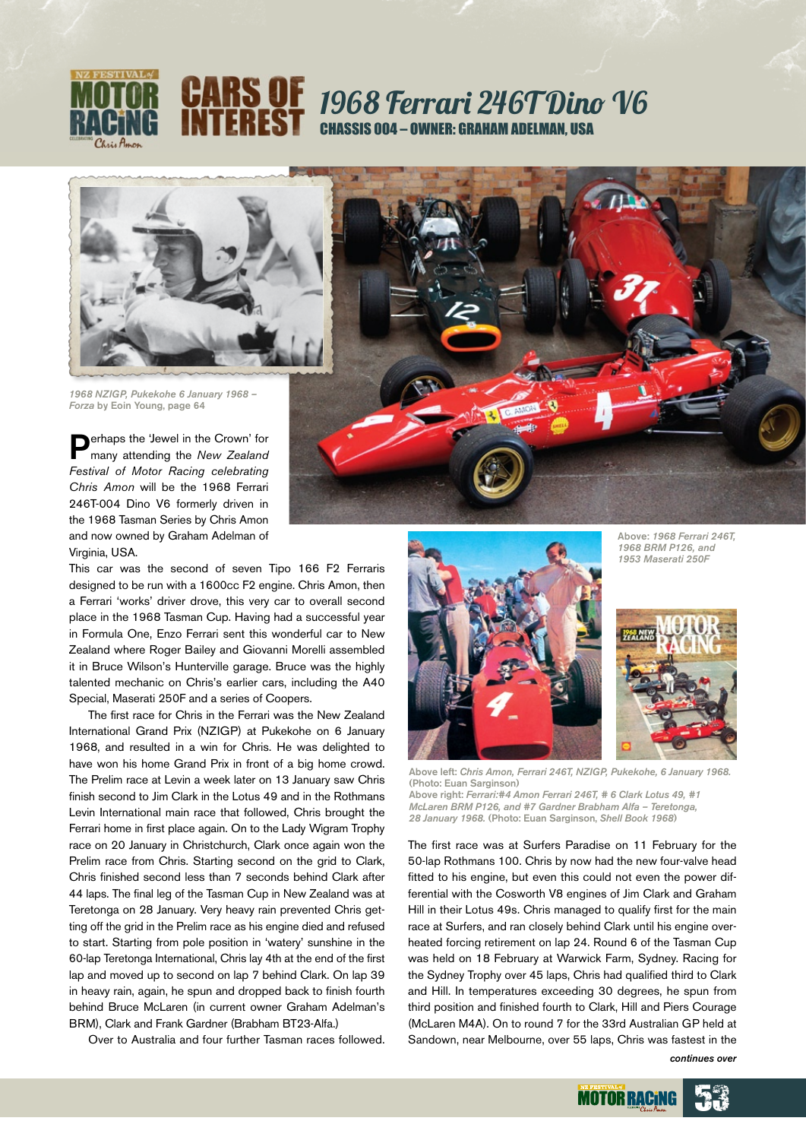

## 1968 Ferrari 246T Dino V6 Chassis 004 – Owner: Graham Adelman, USA



*1968 NZIGP, Pukekohe 6 January 1968 – Forza* by Eoin Young, page 64

erhaps the 'Jewel in the Crown' for many attending the *New Zealand Festival of Motor Racing celebrating Chris Amon* will be the 1968 Ferrari 246T-004 Dino V6 formerly driven in the 1968 Tasman Series by Chris Amon and now owned by Graham Adelman of Virginia, USA.

This car was the second of seven Tipo 166 F2 Ferraris designed to be run with a 1600cc F2 engine. Chris Amon, then a Ferrari 'works' driver drove, this very car to overall second place in the 1968 Tasman Cup. Having had a successful year in Formula One, Enzo Ferrari sent this wonderful car to New Zealand where Roger Bailey and Giovanni Morelli assembled it in Bruce Wilson's Hunterville garage. Bruce was the highly talented mechanic on Chris's earlier cars, including the A40 Special, Maserati 250F and a series of Coopers.

The first race for Chris in the Ferrari was the New Zealand International Grand Prix (NZIGP) at Pukekohe on 6 January 1968, and resulted in a win for Chris. He was delighted to have won his home Grand Prix in front of a big home crowd. The Prelim race at Levin a week later on 13 January saw Chris finish second to Jim Clark in the Lotus 49 and in the Rothmans Levin International main race that followed, Chris brought the Ferrari home in first place again. On to the Lady Wigram Trophy race on 20 January in Christchurch, Clark once again won the Prelim race from Chris. Starting second on the grid to Clark, Chris finished second less than 7 seconds behind Clark after 44 laps. The final leg of the Tasman Cup in New Zealand was at Teretonga on 28 January. Very heavy rain prevented Chris getting off the grid in the Prelim race as his engine died and refused to start. Starting from pole position in 'watery' sunshine in the 60-lap Teretonga International, Chris lay 4th at the end of the first lap and moved up to second on lap 7 behind Clark. On lap 39 in heavy rain, again, he spun and dropped back to finish fourth behind Bruce McLaren (in current owner Graham Adelman's BRM), Clark and Frank Gardner (Brabham BT23-Alfa.)

Over to Australia and four further Tasman races followed.









Above left: *Chris Amon, Ferrari 246T, NZIGP, Pukekohe, 6 January 1968.*  (Photo: Euan Sarginson)

Above right: *Ferrari:#4 Amon Ferrari 246T, # 6 Clark Lotus 49, #1 McLaren BRM P126, and #7 Gardner Brabham Alfa – Teretonga, 28 January 1968.* (Photo: Euan Sarginson, *Shell Book 1968*)

The first race was at Surfers Paradise on 11 February for the 50-lap Rothmans 100. Chris by now had the new four-valve head fitted to his engine, but even this could not even the power differential with the Cosworth V8 engines of Jim Clark and Graham Hill in their Lotus 49s. Chris managed to qualify first for the main race at Surfers, and ran closely behind Clark until his engine overheated forcing retirement on lap 24. Round 6 of the Tasman Cup was held on 18 February at Warwick Farm, Sydney. Racing for the Sydney Trophy over 45 laps, Chris had qualified third to Clark and Hill. In temperatures exceeding 30 degrees, he spun from third position and finished fourth to Clark, Hill and Piers Courage (McLaren M4A). On to round 7 for the 33rd Australian GP held at Sandown, near Melbourne, over 55 laps, Chris was fastest in the

*continues over*